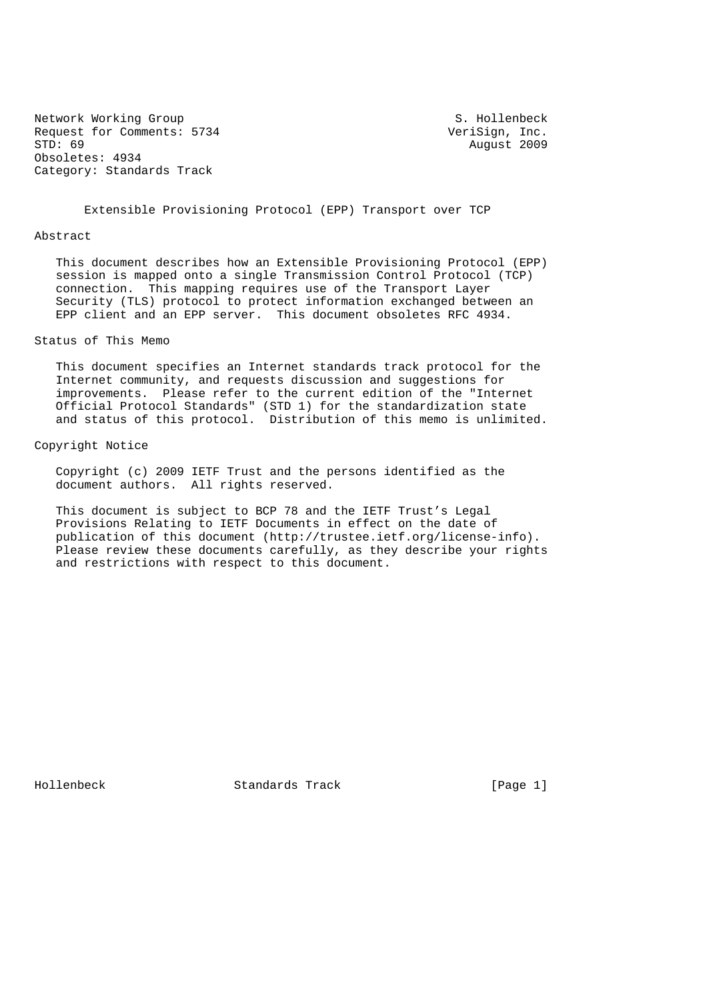Network Working Group S. Hollenbeck Request for Comments: 5734 VeriSign, Inc.<br>STD: 69 August 2009 Obsoletes: 4934 Category: Standards Track

August 2009

Extensible Provisioning Protocol (EPP) Transport over TCP

#### Abstract

 This document describes how an Extensible Provisioning Protocol (EPP) session is mapped onto a single Transmission Control Protocol (TCP) connection. This mapping requires use of the Transport Layer Security (TLS) protocol to protect information exchanged between an EPP client and an EPP server. This document obsoletes RFC 4934.

### Status of This Memo

 This document specifies an Internet standards track protocol for the Internet community, and requests discussion and suggestions for improvements. Please refer to the current edition of the "Internet Official Protocol Standards" (STD 1) for the standardization state and status of this protocol. Distribution of this memo is unlimited.

## Copyright Notice

 Copyright (c) 2009 IETF Trust and the persons identified as the document authors. All rights reserved.

 This document is subject to BCP 78 and the IETF Trust's Legal Provisions Relating to IETF Documents in effect on the date of publication of this document (http://trustee.ietf.org/license-info). Please review these documents carefully, as they describe your rights and restrictions with respect to this document.

Hollenbeck Standards Track [Page 1]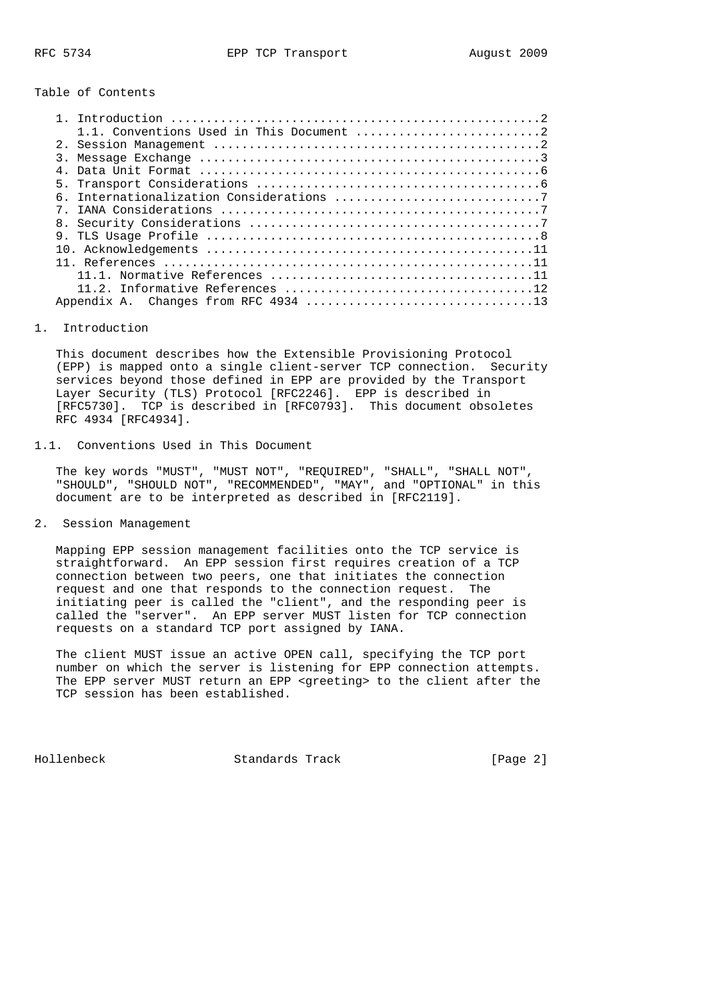Table of Contents

| 1.1. Conventions Used in This Document 2 |
|------------------------------------------|
|                                          |
|                                          |
|                                          |
|                                          |
|                                          |
|                                          |
|                                          |
|                                          |
|                                          |
|                                          |
|                                          |
|                                          |
|                                          |

#### 1. Introduction

 This document describes how the Extensible Provisioning Protocol (EPP) is mapped onto a single client-server TCP connection. Security services beyond those defined in EPP are provided by the Transport Layer Security (TLS) Protocol [RFC2246]. EPP is described in [RFC5730]. TCP is described in [RFC0793]. This document obsoletes RFC 4934 [RFC4934].

### 1.1. Conventions Used in This Document

 The key words "MUST", "MUST NOT", "REQUIRED", "SHALL", "SHALL NOT", "SHOULD", "SHOULD NOT", "RECOMMENDED", "MAY", and "OPTIONAL" in this document are to be interpreted as described in [RFC2119].

## 2. Session Management

 Mapping EPP session management facilities onto the TCP service is straightforward. An EPP session first requires creation of a TCP connection between two peers, one that initiates the connection request and one that responds to the connection request. The initiating peer is called the "client", and the responding peer is called the "server". An EPP server MUST listen for TCP connection requests on a standard TCP port assigned by IANA.

 The client MUST issue an active OPEN call, specifying the TCP port number on which the server is listening for EPP connection attempts. The EPP server MUST return an EPP <greeting> to the client after the TCP session has been established.

Hollenbeck Standards Track [Page 2]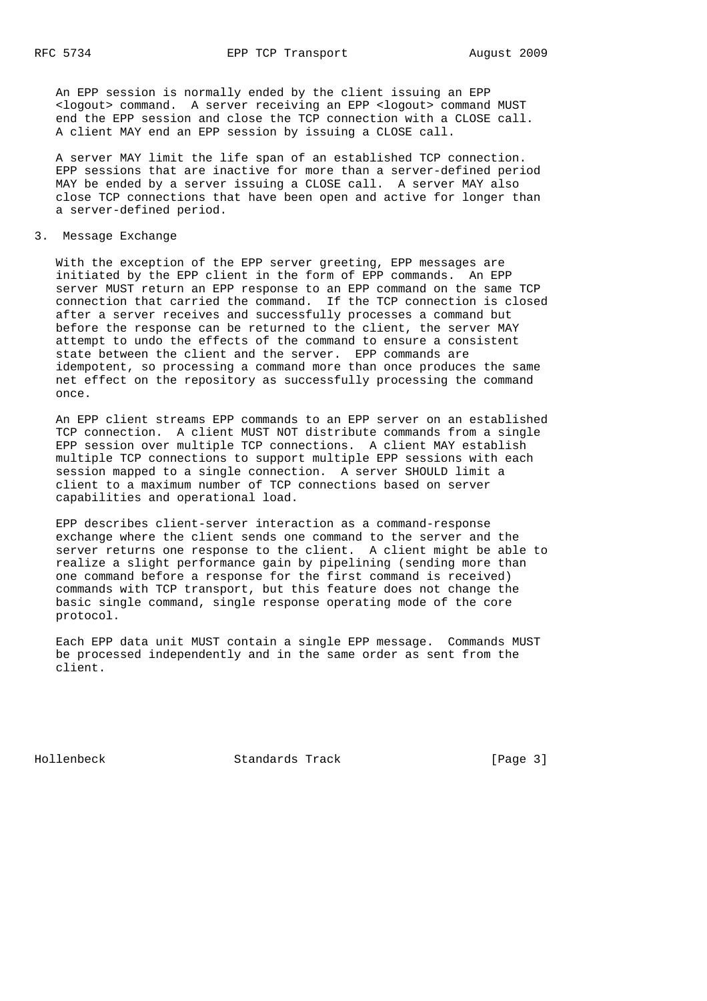An EPP session is normally ended by the client issuing an EPP <logout> command. A server receiving an EPP <logout> command MUST end the EPP session and close the TCP connection with a CLOSE call. A client MAY end an EPP session by issuing a CLOSE call.

 A server MAY limit the life span of an established TCP connection. EPP sessions that are inactive for more than a server-defined period MAY be ended by a server issuing a CLOSE call. A server MAY also close TCP connections that have been open and active for longer than a server-defined period.

#### 3. Message Exchange

 With the exception of the EPP server greeting, EPP messages are initiated by the EPP client in the form of EPP commands. An EPP server MUST return an EPP response to an EPP command on the same TCP connection that carried the command. If the TCP connection is closed after a server receives and successfully processes a command but before the response can be returned to the client, the server MAY attempt to undo the effects of the command to ensure a consistent state between the client and the server. EPP commands are idempotent, so processing a command more than once produces the same net effect on the repository as successfully processing the command once.

 An EPP client streams EPP commands to an EPP server on an established TCP connection. A client MUST NOT distribute commands from a single EPP session over multiple TCP connections. A client MAY establish multiple TCP connections to support multiple EPP sessions with each session mapped to a single connection. A server SHOULD limit a client to a maximum number of TCP connections based on server capabilities and operational load.

 EPP describes client-server interaction as a command-response exchange where the client sends one command to the server and the server returns one response to the client. A client might be able to realize a slight performance gain by pipelining (sending more than one command before a response for the first command is received) commands with TCP transport, but this feature does not change the basic single command, single response operating mode of the core protocol.

 Each EPP data unit MUST contain a single EPP message. Commands MUST be processed independently and in the same order as sent from the client.

Hollenbeck Standards Track [Page 3]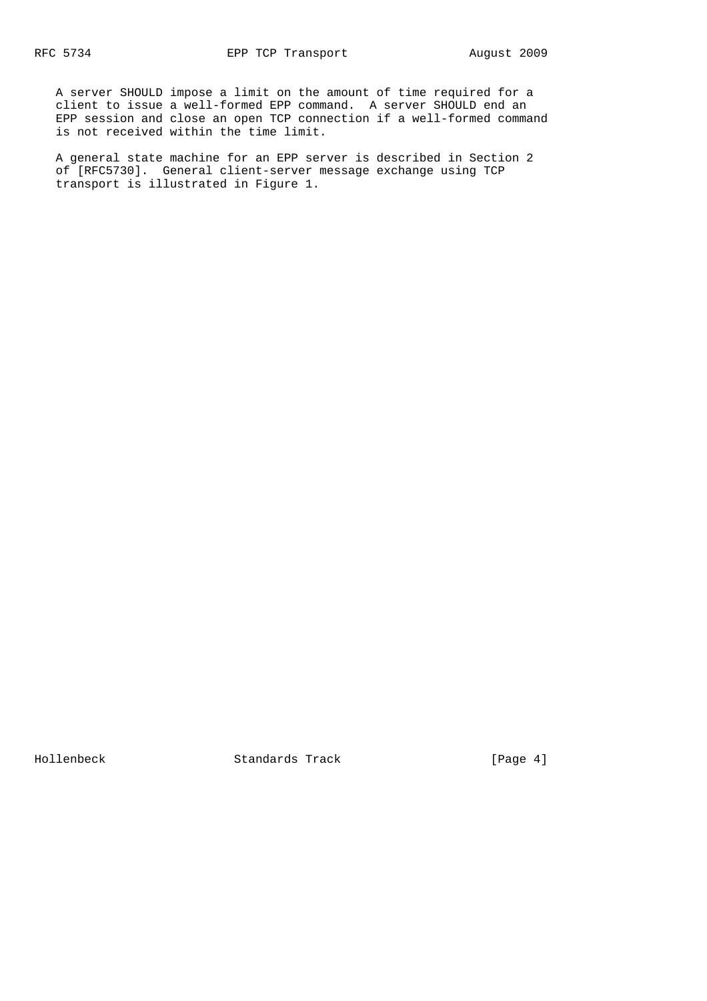A server SHOULD impose a limit on the amount of time required for a client to issue a well-formed EPP command. A server SHOULD end an EPP session and close an open TCP connection if a well-formed command is not received within the time limit.

 A general state machine for an EPP server is described in Section 2 of [RFC5730]. General client-server message exchange using TCP transport is illustrated in Figure 1.

Hollenbeck Standards Track [Page 4]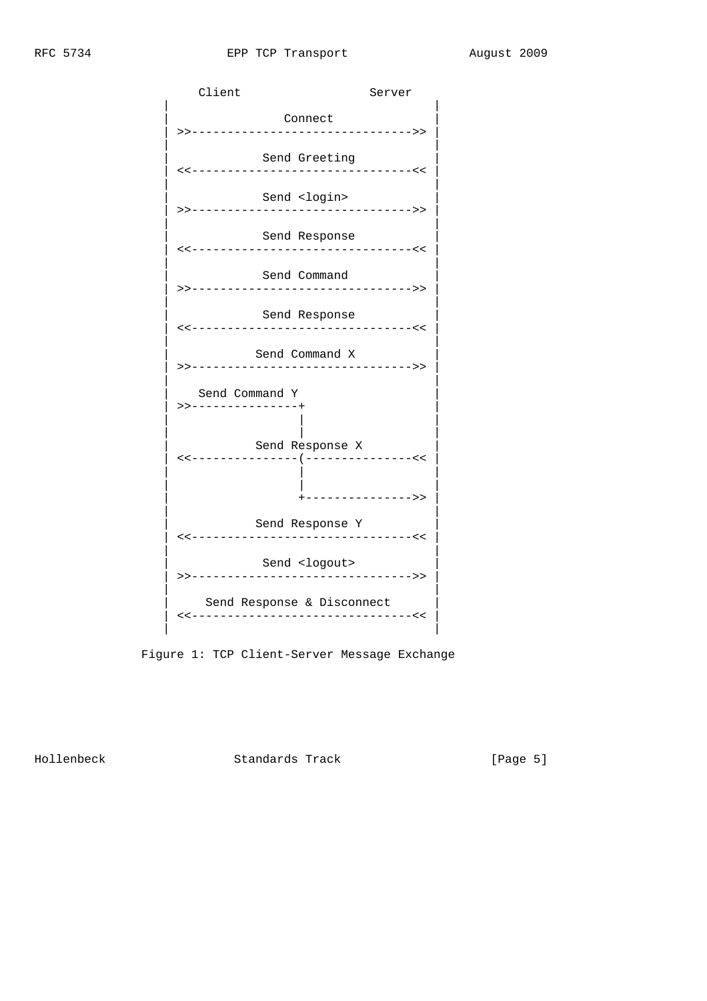

Figure 1: TCP Client-Server Message Exchange

Hollenbeck Standards Track [Page 5]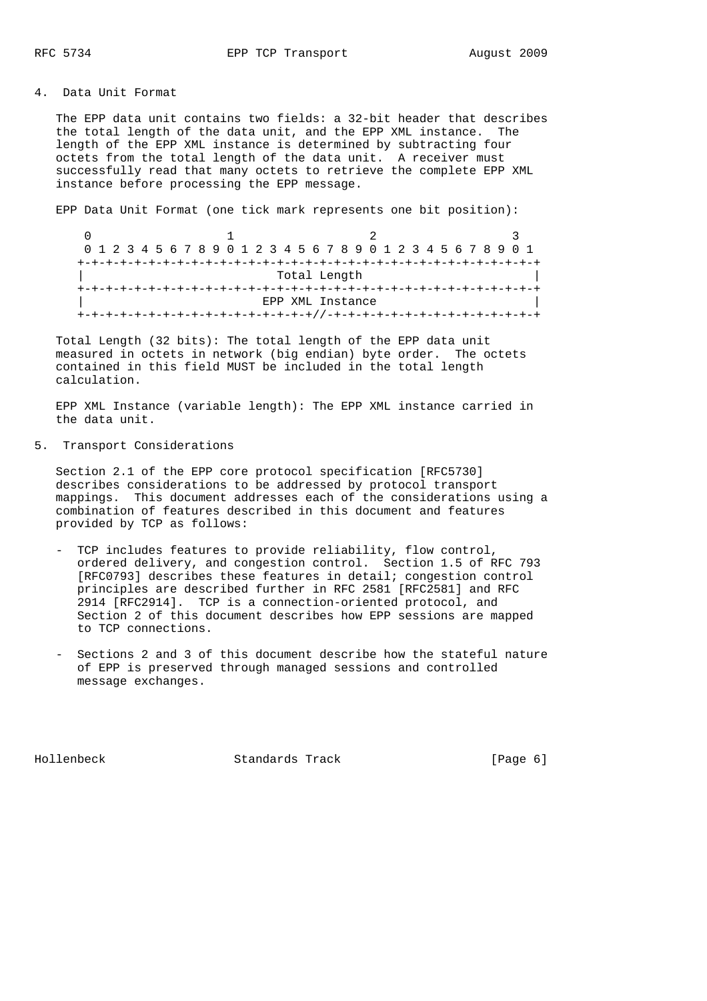4. Data Unit Format

 The EPP data unit contains two fields: a 32-bit header that describes the total length of the data unit, and the EPP XML instance. The length of the EPP XML instance is determined by subtracting four octets from the total length of the data unit. A receiver must successfully read that many octets to retrieve the complete EPP XML instance before processing the EPP message.

EPP Data Unit Format (one tick mark represents one bit position):

 $0$  1 2 3 0 1 2 3 4 5 6 7 8 9 0 1 2 3 4 5 6 7 8 9 0 1 2 3 4 5 6 7 8 9 0 1 +-+-+-+-+-+-+-+-+-+-+-+-+-+-+-+-+-+-+-+-+-+-+-+-+-+-+-+-+-+-+-+-+ Total Length +-+-+-+-+-+-+-+-+-+-+-+-+-+-+-+-+-+-+-+-+-+-+-+-+-+-+-+-+-+-+-+-+ | EPP XML Instance | +-+-+-+-+-+-+-+-+-+-+-+-+-+-+-+-+//-+-+-+-+-+-+-+-+-+-+-+-+-+-+-+

 Total Length (32 bits): The total length of the EPP data unit measured in octets in network (big endian) byte order. The octets contained in this field MUST be included in the total length calculation.

 EPP XML Instance (variable length): The EPP XML instance carried in the data unit.

5. Transport Considerations

 Section 2.1 of the EPP core protocol specification [RFC5730] describes considerations to be addressed by protocol transport mappings. This document addresses each of the considerations using a combination of features described in this document and features provided by TCP as follows:

- TCP includes features to provide reliability, flow control, ordered delivery, and congestion control. Section 1.5 of RFC 793 [RFC0793] describes these features in detail; congestion control principles are described further in RFC 2581 [RFC2581] and RFC 2914 [RFC2914]. TCP is a connection-oriented protocol, and Section 2 of this document describes how EPP sessions are mapped to TCP connections.
- Sections 2 and 3 of this document describe how the stateful nature of EPP is preserved through managed sessions and controlled message exchanges.

Hollenbeck Standards Track [Page 6]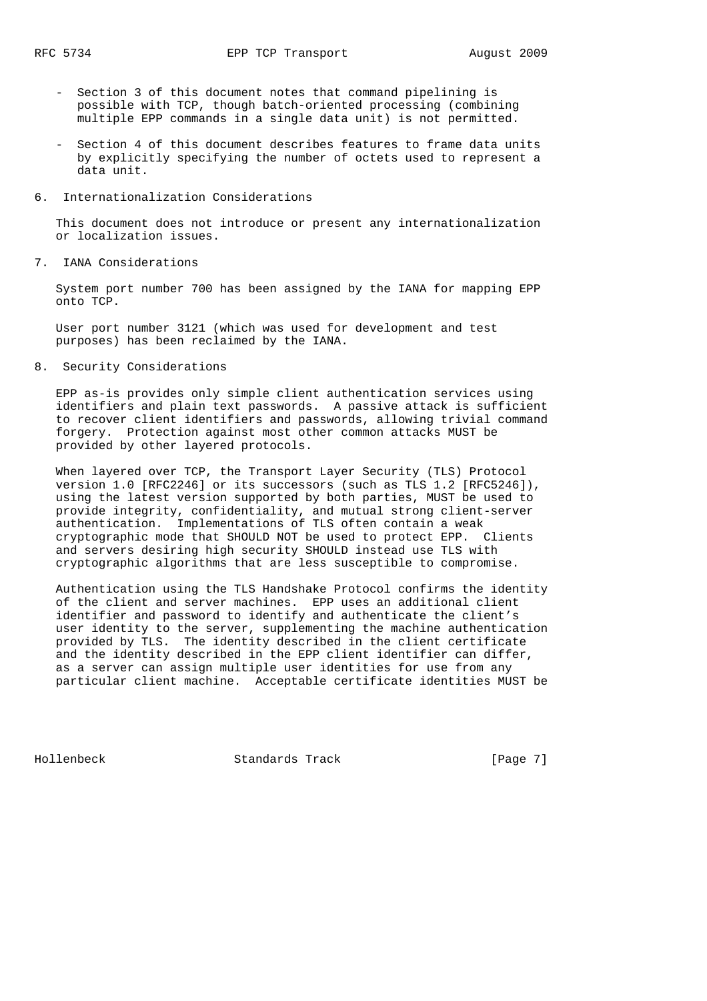- Section 3 of this document notes that command pipelining is possible with TCP, though batch-oriented processing (combining multiple EPP commands in a single data unit) is not permitted.
- Section 4 of this document describes features to frame data units by explicitly specifying the number of octets used to represent a data unit.
- 6. Internationalization Considerations

 This document does not introduce or present any internationalization or localization issues.

7. IANA Considerations

 System port number 700 has been assigned by the IANA for mapping EPP onto TCP.

 User port number 3121 (which was used for development and test purposes) has been reclaimed by the IANA.

8. Security Considerations

 EPP as-is provides only simple client authentication services using identifiers and plain text passwords. A passive attack is sufficient to recover client identifiers and passwords, allowing trivial command forgery. Protection against most other common attacks MUST be provided by other layered protocols.

 When layered over TCP, the Transport Layer Security (TLS) Protocol version 1.0 [RFC2246] or its successors (such as TLS 1.2 [RFC5246]), using the latest version supported by both parties, MUST be used to provide integrity, confidentiality, and mutual strong client-server authentication. Implementations of TLS often contain a weak cryptographic mode that SHOULD NOT be used to protect EPP. Clients and servers desiring high security SHOULD instead use TLS with cryptographic algorithms that are less susceptible to compromise.

 Authentication using the TLS Handshake Protocol confirms the identity of the client and server machines. EPP uses an additional client identifier and password to identify and authenticate the client's user identity to the server, supplementing the machine authentication provided by TLS. The identity described in the client certificate and the identity described in the EPP client identifier can differ, as a server can assign multiple user identities for use from any particular client machine. Acceptable certificate identities MUST be

Hollenbeck Standards Track [Page 7]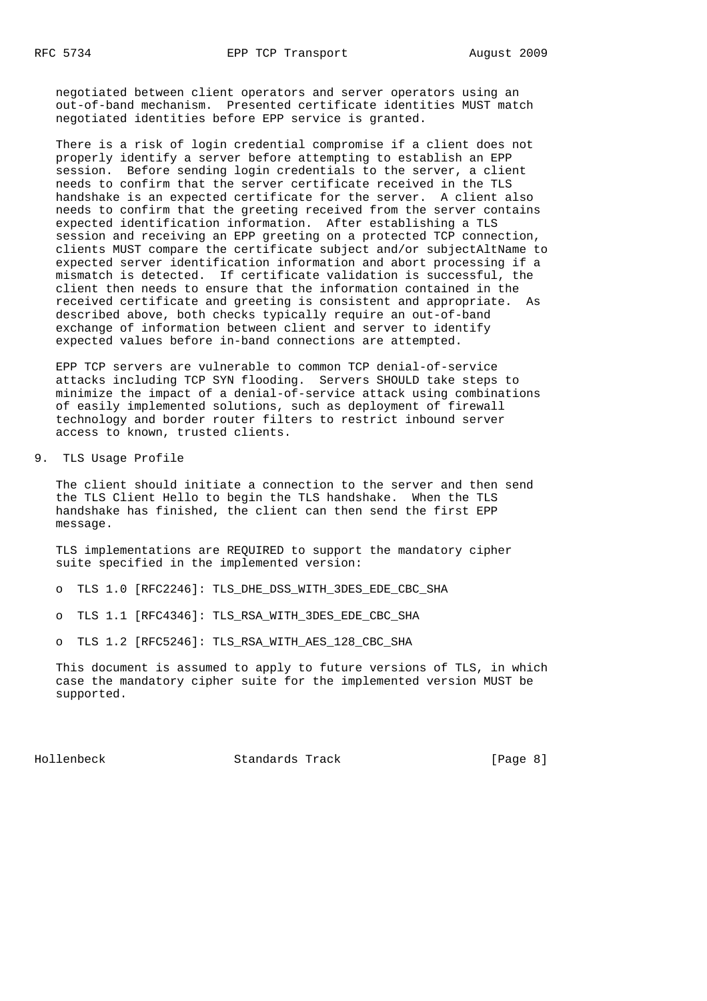negotiated between client operators and server operators using an out-of-band mechanism. Presented certificate identities MUST match negotiated identities before EPP service is granted.

 There is a risk of login credential compromise if a client does not properly identify a server before attempting to establish an EPP session. Before sending login credentials to the server, a client needs to confirm that the server certificate received in the TLS handshake is an expected certificate for the server. A client also needs to confirm that the greeting received from the server contains expected identification information. After establishing a TLS session and receiving an EPP greeting on a protected TCP connection, clients MUST compare the certificate subject and/or subjectAltName to expected server identification information and abort processing if a mismatch is detected. If certificate validation is successful, the client then needs to ensure that the information contained in the received certificate and greeting is consistent and appropriate. As described above, both checks typically require an out-of-band exchange of information between client and server to identify expected values before in-band connections are attempted.

 EPP TCP servers are vulnerable to common TCP denial-of-service attacks including TCP SYN flooding. Servers SHOULD take steps to minimize the impact of a denial-of-service attack using combinations of easily implemented solutions, such as deployment of firewall technology and border router filters to restrict inbound server access to known, trusted clients.

9. TLS Usage Profile

 The client should initiate a connection to the server and then send the TLS Client Hello to begin the TLS handshake. When the TLS handshake has finished, the client can then send the first EPP message.

 TLS implementations are REQUIRED to support the mandatory cipher suite specified in the implemented version:

- o TLS 1.0 [RFC2246]: TLS\_DHE\_DSS\_WITH\_3DES\_EDE\_CBC\_SHA
- o TLS 1.1 [RFC4346]: TLS\_RSA\_WITH\_3DES\_EDE\_CBC\_SHA
- o TLS 1.2 [RFC5246]: TLS\_RSA\_WITH\_AES\_128\_CBC\_SHA

 This document is assumed to apply to future versions of TLS, in which case the mandatory cipher suite for the implemented version MUST be supported.

Hollenbeck Standards Track [Page 8]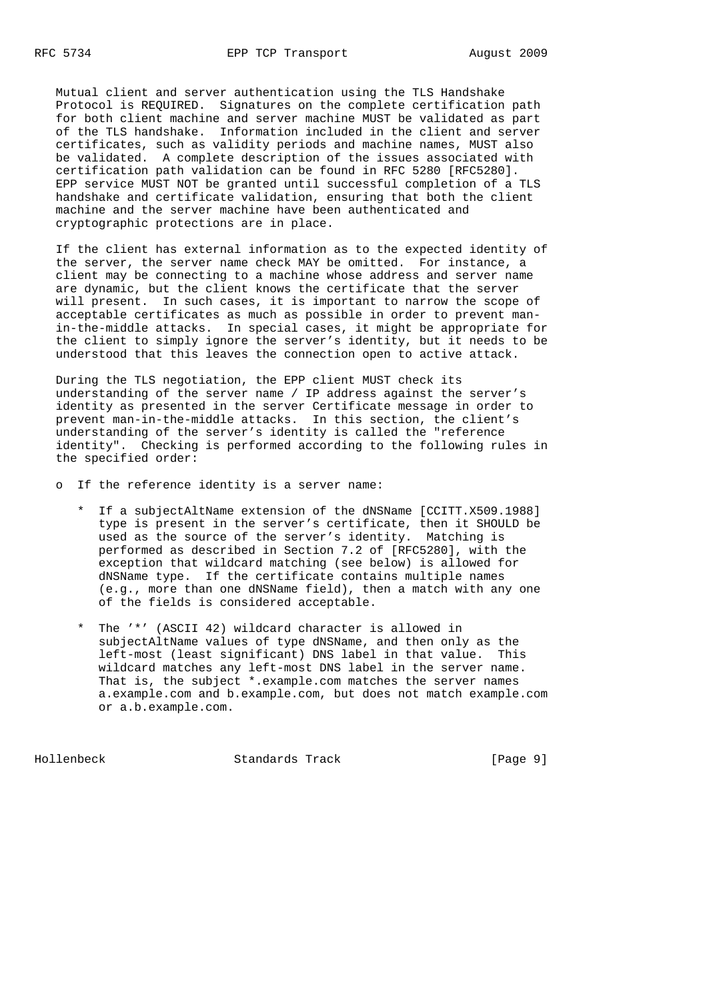Mutual client and server authentication using the TLS Handshake Protocol is REQUIRED. Signatures on the complete certification path for both client machine and server machine MUST be validated as part of the TLS handshake. Information included in the client and server certificates, such as validity periods and machine names, MUST also be validated. A complete description of the issues associated with certification path validation can be found in RFC 5280 [RFC5280]. EPP service MUST NOT be granted until successful completion of a TLS handshake and certificate validation, ensuring that both the client machine and the server machine have been authenticated and cryptographic protections are in place.

 If the client has external information as to the expected identity of the server, the server name check MAY be omitted. For instance, a client may be connecting to a machine whose address and server name are dynamic, but the client knows the certificate that the server will present. In such cases, it is important to narrow the scope of acceptable certificates as much as possible in order to prevent man in-the-middle attacks. In special cases, it might be appropriate for the client to simply ignore the server's identity, but it needs to be understood that this leaves the connection open to active attack.

 During the TLS negotiation, the EPP client MUST check its understanding of the server name / IP address against the server's identity as presented in the server Certificate message in order to prevent man-in-the-middle attacks. In this section, the client's understanding of the server's identity is called the "reference identity". Checking is performed according to the following rules in the specified order:

o If the reference identity is a server name:

- \* If a subjectAltName extension of the dNSName [CCITT.X509.1988] type is present in the server's certificate, then it SHOULD be used as the source of the server's identity. Matching is performed as described in Section 7.2 of [RFC5280], with the exception that wildcard matching (see below) is allowed for dNSName type. If the certificate contains multiple names (e.g., more than one dNSName field), then a match with any one of the fields is considered acceptable.
- \* The '\*' (ASCII 42) wildcard character is allowed in subjectAltName values of type dNSName, and then only as the left-most (least significant) DNS label in that value. This wildcard matches any left-most DNS label in the server name. That is, the subject \*.example.com matches the server names a.example.com and b.example.com, but does not match example.com or a.b.example.com.

Hollenbeck Standards Track [Page 9]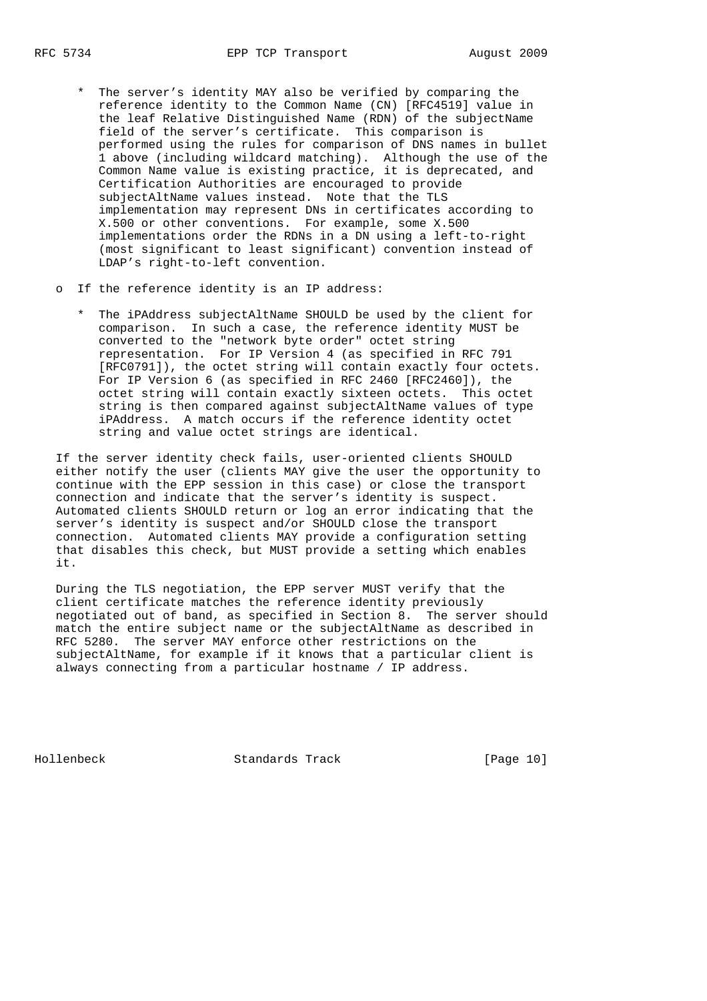- \* The server's identity MAY also be verified by comparing the reference identity to the Common Name (CN) [RFC4519] value in the leaf Relative Distinguished Name (RDN) of the subjectName field of the server's certificate. This comparison is performed using the rules for comparison of DNS names in bullet 1 above (including wildcard matching). Although the use of the Common Name value is existing practice, it is deprecated, and Certification Authorities are encouraged to provide subjectAltName values instead. Note that the TLS implementation may represent DNs in certificates according to X.500 or other conventions. For example, some X.500 implementations order the RDNs in a DN using a left-to-right (most significant to least significant) convention instead of LDAP's right-to-left convention.
- o If the reference identity is an IP address:
	- \* The iPAddress subjectAltName SHOULD be used by the client for comparison. In such a case, the reference identity MUST be converted to the "network byte order" octet string representation. For IP Version 4 (as specified in RFC 791 [RFC0791]), the octet string will contain exactly four octets. For IP Version 6 (as specified in RFC 2460 [RFC2460]), the octet string will contain exactly sixteen octets. This octet string is then compared against subjectAltName values of type iPAddress. A match occurs if the reference identity octet string and value octet strings are identical.

 If the server identity check fails, user-oriented clients SHOULD either notify the user (clients MAY give the user the opportunity to continue with the EPP session in this case) or close the transport connection and indicate that the server's identity is suspect. Automated clients SHOULD return or log an error indicating that the server's identity is suspect and/or SHOULD close the transport connection. Automated clients MAY provide a configuration setting that disables this check, but MUST provide a setting which enables it.

 During the TLS negotiation, the EPP server MUST verify that the client certificate matches the reference identity previously negotiated out of band, as specified in Section 8. The server should match the entire subject name or the subjectAltName as described in RFC 5280. The server MAY enforce other restrictions on the subjectAltName, for example if it knows that a particular client is always connecting from a particular hostname / IP address.

Hollenbeck Standards Track [Page 10]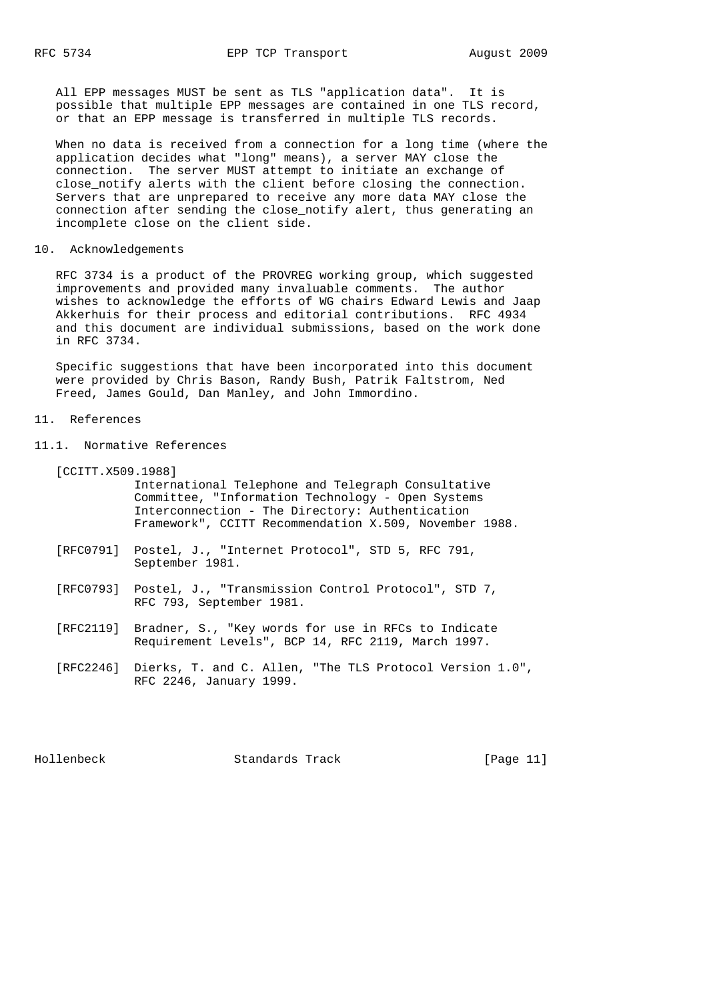All EPP messages MUST be sent as TLS "application data". It is possible that multiple EPP messages are contained in one TLS record, or that an EPP message is transferred in multiple TLS records.

 When no data is received from a connection for a long time (where the application decides what "long" means), a server MAY close the connection. The server MUST attempt to initiate an exchange of close\_notify alerts with the client before closing the connection. Servers that are unprepared to receive any more data MAY close the connection after sending the close\_notify alert, thus generating an incomplete close on the client side.

# 10. Acknowledgements

 RFC 3734 is a product of the PROVREG working group, which suggested improvements and provided many invaluable comments. The author wishes to acknowledge the efforts of WG chairs Edward Lewis and Jaap Akkerhuis for their process and editorial contributions. RFC 4934 and this document are individual submissions, based on the work done in RFC 3734.

 Specific suggestions that have been incorporated into this document were provided by Chris Bason, Randy Bush, Patrik Faltstrom, Ned Freed, James Gould, Dan Manley, and John Immordino.

### 11. References

- 11.1. Normative References
	- [CCITT.X509.1988] International Telephone and Telegraph Consultative Committee, "Information Technology - Open Systems Interconnection - The Directory: Authentication Framework", CCITT Recommendation X.509, November 1988.
	- [RFC0791] Postel, J., "Internet Protocol", STD 5, RFC 791, September 1981.
	- [RFC0793] Postel, J., "Transmission Control Protocol", STD 7, RFC 793, September 1981.
	- [RFC2119] Bradner, S., "Key words for use in RFCs to Indicate Requirement Levels", BCP 14, RFC 2119, March 1997.
	- [RFC2246] Dierks, T. and C. Allen, "The TLS Protocol Version 1.0", RFC 2246, January 1999.

Hollenbeck Standards Track [Page 11]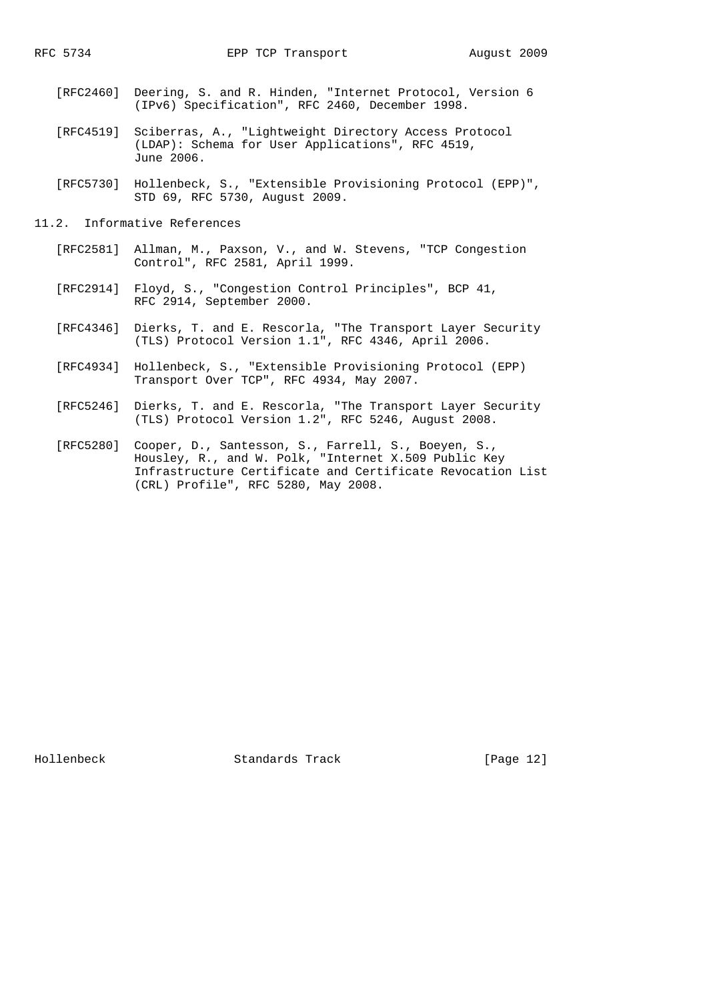- [RFC2460] Deering, S. and R. Hinden, "Internet Protocol, Version 6 (IPv6) Specification", RFC 2460, December 1998.
- [RFC4519] Sciberras, A., "Lightweight Directory Access Protocol (LDAP): Schema for User Applications", RFC 4519, June 2006.
- [RFC5730] Hollenbeck, S., "Extensible Provisioning Protocol (EPP)", STD 69, RFC 5730, August 2009.
- 11.2. Informative References
	- [RFC2581] Allman, M., Paxson, V., and W. Stevens, "TCP Congestion Control", RFC 2581, April 1999.
	- [RFC2914] Floyd, S., "Congestion Control Principles", BCP 41, RFC 2914, September 2000.
	- [RFC4346] Dierks, T. and E. Rescorla, "The Transport Layer Security (TLS) Protocol Version 1.1", RFC 4346, April 2006.
	- [RFC4934] Hollenbeck, S., "Extensible Provisioning Protocol (EPP) Transport Over TCP", RFC 4934, May 2007.
	- [RFC5246] Dierks, T. and E. Rescorla, "The Transport Layer Security (TLS) Protocol Version 1.2", RFC 5246, August 2008.
	- [RFC5280] Cooper, D., Santesson, S., Farrell, S., Boeyen, S., Housley, R., and W. Polk, "Internet X.509 Public Key Infrastructure Certificate and Certificate Revocation List (CRL) Profile", RFC 5280, May 2008.

Hollenbeck Standards Track [Page 12]